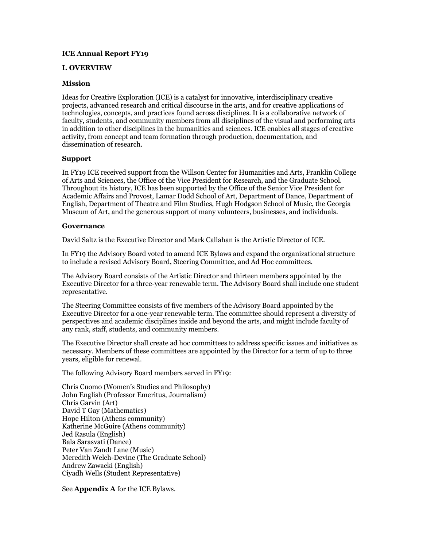# **ICE Annual Report FY19**

# **I. OVERVIEW**

## **Mission**

Ideas for Creative Exploration (ICE) is a catalyst for innovative, interdisciplinary creative projects, advanced research and critical discourse in the arts, and for creative applications of technologies, concepts, and practices found across disciplines. It is a collaborative network of faculty, students, and community members from all disciplines of the visual and performing arts in addition to other disciplines in the humanities and sciences. ICE enables all stages of creative activity, from concept and team formation through production, documentation, and dissemination of research.

## **Support**

In FY19 ICE received support from the Willson Center for Humanities and Arts, Franklin College of Arts and Sciences, the Office of the Vice President for Research, and the Graduate School. Throughout its history, ICE has been supported by the Office of the Senior Vice President for Academic Affairs and Provost, Lamar Dodd School of Art, Department of Dance, Department of English, Department of Theatre and Film Studies, Hugh Hodgson School of Music, the Georgia Museum of Art, and the generous support of many volunteers, businesses, and individuals.

## **Governance**

David Saltz is the Executive Director and Mark Callahan is the Artistic Director of ICE.

In FY19 the Advisory Board voted to amend ICE Bylaws and expand the organizational structure to include a revised Advisory Board, Steering Committee, and Ad Hoc committees.

The Advisory Board consists of the Artistic Director and thirteen members appointed by the Executive Director for a three-year renewable term. The Advisory Board shall include one student representative.

The Steering Committee consists of five members of the Advisory Board appointed by the Executive Director for a one-year renewable term. The committee should represent a diversity of perspectives and academic disciplines inside and beyond the arts, and might include faculty of any rank, staff, students, and community members.

The Executive Director shall create ad hoc committees to address specific issues and initiatives as necessary. Members of these committees are appointed by the Director for a term of up to three years, eligible for renewal.

The following Advisory Board members served in FY19:

Chris Cuomo (Women's Studies and Philosophy) John English (Professor Emeritus, Journalism) Chris Garvin (Art) David T Gay (Mathematics) Hope Hilton (Athens community) Katherine McGuire (Athens community) Jed Rasula (English) Bala Sarasvati (Dance) Peter Van Zandt Lane (Music) Meredith Welch-Devine (The Graduate School) Andrew Zawacki (English) Ciyadh Wells (Student Representative)

See **Appendix A** for the ICE Bylaws.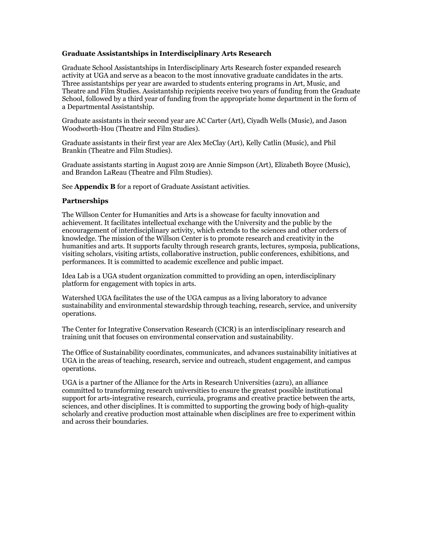# **Graduate Assistantships in Interdisciplinary Arts Research**

Graduate School Assistantships in Interdisciplinary Arts Research foster expanded research activity at UGA and serve as a beacon to the most innovative graduate candidates in the arts. Three assistantships per year are awarded to students entering programs in Art, Music, and Theatre and Film Studies. Assistantship recipients receive two years of funding from the Graduate School, followed by a third year of funding from the appropriate home department in the form of a Departmental Assistantship.

Graduate assistants in their second year are AC Carter (Art), Ciyadh Wells (Music), and Jason Woodworth-Hou (Theatre and Film Studies).

Graduate assistants in their first year are Alex McClay (Art), Kelly Catlin (Music), and Phil Brankin (Theatre and Film Studies).

Graduate assistants starting in August 2019 are Annie Simpson (Art), Elizabeth Boyce (Music), and Brandon LaReau (Theatre and Film Studies).

See **Appendix B** for a report of Graduate Assistant activities.

## **Partnerships**

The Willson Center for Humanities and Arts is a showcase for faculty innovation and achievement. It facilitates intellectual exchange with the University and the public by the encouragement of interdisciplinary activity, which extends to the sciences and other orders of knowledge. The mission of the Willson Center is to promote research and creativity in the humanities and arts. It supports faculty through research grants, lectures, symposia, publications, visiting scholars, visiting artists, collaborative instruction, public conferences, exhibitions, and performances. It is committed to academic excellence and public impact.

Idea Lab is a UGA student organization committed to providing an open, interdisciplinary platform for engagement with topics in arts.

Watershed UGA facilitates the use of the UGA campus as a living laboratory to advance sustainability and environmental stewardship through teaching, research, service, and university operations.

The Center for Integrative Conservation Research (CICR) is an interdisciplinary research and training unit that focuses on environmental conservation and sustainability.

The Office of Sustainability coordinates, communicates, and advances sustainability initiatives at UGA in the areas of teaching, research, service and outreach, student engagement, and campus operations.

UGA is a partner of the Alliance for the Arts in Research Universities (a2ru), an alliance committed to transforming research universities to ensure the greatest possible institutional support for arts-integrative research, curricula, programs and creative practice between the arts, sciences, and other disciplines. It is committed to supporting the growing body of high-quality scholarly and creative production most attainable when disciplines are free to experiment within and across their boundaries.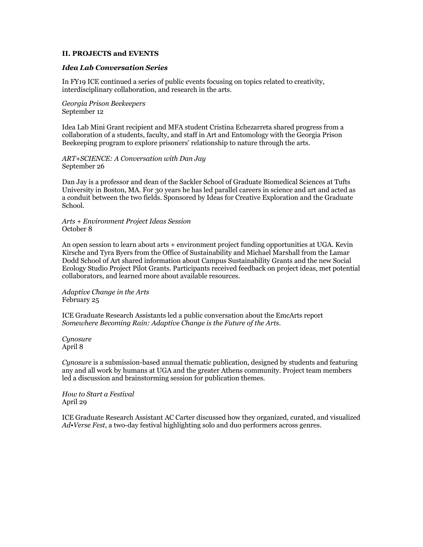## **II. PROJECTS and EVENTS**

### *Idea Lab Conversation Series*

In FY19 ICE continued a series of public events focusing on topics related to creativity, interdisciplinary collaboration, and research in the arts.

*Georgia Prison Beekeepers* September 12

Idea Lab Mini Grant recipient and MFA student Cristina Echezarreta shared progress from a collaboration of a students, faculty, and staff in Art and Entomology with the Georgia Prison Beekeeping program to explore prisoners' relationship to nature through the arts.

*ART+SCIENCE: A Conversation with Dan Jay* September 26

Dan Jay is a professor and dean of the Sackler School of Graduate Biomedical Sciences at Tufts University in Boston, MA. For 30 years he has led parallel careers in science and art and acted as a conduit between the two fields. Sponsored by Ideas for Creative Exploration and the Graduate School.

*Arts + Environment Project Ideas Session* October 8

An open session to learn about arts + environment project funding opportunities at UGA. Kevin Kirsche and Tyra Byers from the Office of Sustainability and Michael Marshall from the Lamar Dodd School of Art shared information about Campus Sustainability Grants and the new Social Ecology Studio Project Pilot Grants. Participants received feedback on project ideas, met potential collaborators, and learned more about available resources.

*Adaptive Change in the Arts* February 25

ICE Graduate Research Assistants led a public conversation about the EmcArts report *Somewhere Becoming Rain: Adaptive Change is the Future of the Arts*.

*Cynosure* April 8

*Cynosure* is a submission-based annual thematic publication, designed by students and featuring any and all work by humans at UGA and the greater Athens community. Project team members led a discussion and brainstorming session for publication themes.

*How to Start a Festival* April 29

ICE Graduate Research Assistant AC Carter discussed how they organized, curated, and visualized *Ad•Verse Fest*, a two-day festival highlighting solo and duo performers across genres.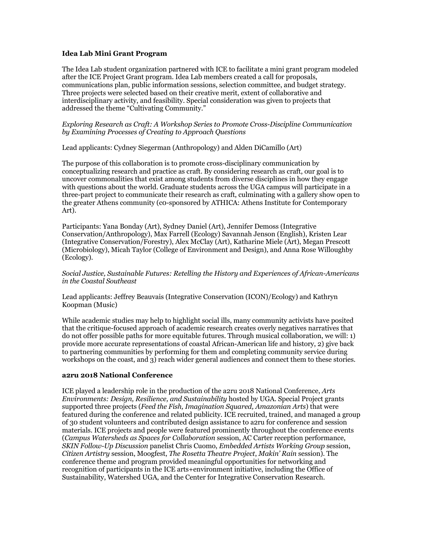# **Idea Lab Mini Grant Program**

The Idea Lab student organization partnered with ICE to facilitate a mini grant program modeled after the ICE Project Grant program. Idea Lab members created a call for proposals, communications plan, public information sessions, selection committee, and budget strategy. Three projects were selected based on their creative merit, extent of collaborative and interdisciplinary activity, and feasibility. Special consideration was given to projects that addressed the theme "Cultivating Community."

*Exploring Research as Craft: A Workshop Series to Promote Cross-Discipline Communication by Examining Processes of Creating to Approach Questions*

Lead applicants: Cydney Siegerman (Anthropology) and Alden DiCamillo (Art)

The purpose of this collaboration is to promote cross-disciplinary communication by conceptualizing research and practice as craft. By considering research as craft, our goal is to uncover commonalities that exist among students from diverse disciplines in how they engage with questions about the world. Graduate students across the UGA campus will participate in a three-part project to communicate their research as craft, culminating with a gallery show open to the greater Athens community (c0-sponsored by ATHICA: Athens Institute for Contemporary Art).

Participants: Yana Bonday (Art), Sydney Daniel (Art), Jennifer Demoss (Integrative Conservation/Anthropology), Max Farrell (Ecology) Savannah Jenson (English), Kristen Lear (Integrative Conservation/Forestry), Alex McClay (Art), Katharine Miele (Art), Megan Prescott (Microbiology), Micah Taylor (College of Environment and Design), and Anna Rose Willoughby (Ecology).

*Social Justice, Sustainable Futures: Retelling the History and Experiences of African-Americans in the Coastal Southeast*

Lead applicants: Jeffrey Beauvais (Integrative Conservation (ICON)/Ecology) and Kathryn Koopman (Music)

While academic studies may help to highlight social ills, many community activists have posited that the critique-focused approach of academic research creates overly negatives narratives that do not offer possible paths for more equitable futures. Through musical collaboration, we will: 1) provide more accurate representations of coastal African-American life and history, 2) give back to partnering communities by performing for them and completing community service during workshops on the coast, and 3) reach wider general audiences and connect them to these stories.

## **a2ru 2018 National Conference**

ICE played a leadership role in the production of the a2ru 2018 National Conference, *Arts Environments: Design, Resilience, and Sustainability* hosted by UGA. Special Project grants supported three projects (*Feed the Fish, Imagination Squared, Amazonian Arts*) that were featured during the conference and related publicity. ICE recruited, trained, and managed a group of 30 student volunteers and contributed design assistance to a2ru for conference and session materials. ICE projects and people were featured prominently throughout the conference events (*Campus Watersheds as Spaces for Collaboration* session, AC Carter reception performance, *SKIN Follow-Up Discussion* panelist Chris Cuomo, *Embedded Artists Working Group* session, *Citizen Artistry* session, Moogfest, *The Rosetta Theatre Project*, *Makin' Rain* session). The conference theme and program provided meaningful opportunities for networking and recognition of participants in the ICE arts+environment initiative, including the Office of Sustainability, Watershed UGA, and the Center for Integrative Conservation Research.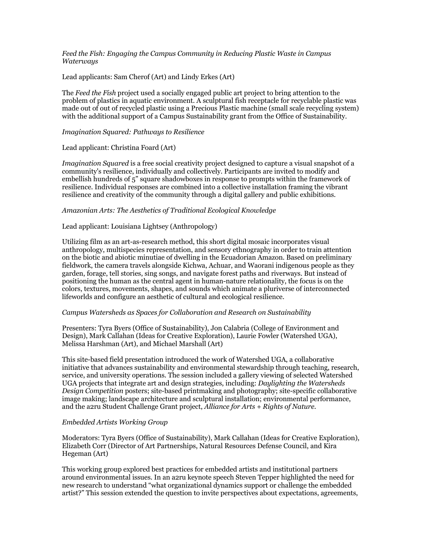*Feed the Fish: Engaging the Campus Community in Reducing Plastic Waste in Campus Waterways*

Lead applicants: Sam Cherof (Art) and Lindy Erkes (Art)

The *Feed the Fish* project used a socially engaged public art project to bring attention to the problem of plastics in aquatic environment. A sculptural fish receptacle for recyclable plastic was made out of out of recycled plastic using a Precious Plastic machine (small scale recycling system) with the additional support of a Campus Sustainability grant from the Office of Sustainability.

*Imagination Squared: Pathways to Resilience*

Lead applicant: Christina Foard (Art)

*Imagination Squared* is a free social creativity project designed to capture a visual snapshot of a community's resilience, individually and collectively. Participants are invited to modify and embellish hundreds of 5" square shadowboxes in response to prompts within the framework of resilience. Individual responses are combined into a collective installation framing the vibrant resilience and creativity of the community through a digital gallery and public exhibitions.

#### *Amazonian Arts: The Aesthetics of Traditional Ecological Knowledge*

Lead applicant: Louisiana Lightsey (Anthropology)

Utilizing film as an art-as-research method, this short digital mosaic incorporates visual anthropology, multispecies representation, and sensory ethnography in order to train attention on the biotic and abiotic minutiae of dwelling in the Ecuadorian Amazon. Based on preliminary fieldwork, the camera travels alongside Kichwa, Achuar, and Waorani indigenous people as they garden, forage, tell stories, sing songs, and navigate forest paths and riverways. But instead of positioning the human as the central agent in human-nature relationality, the focus is on the colors, textures, movements, shapes, and sounds which animate a pluriverse of interconnected lifeworlds and configure an aesthetic of cultural and ecological resilience.

#### *Campus Watersheds as Spaces for Collaboration and Research on Sustainability*

Presenters: Tyra Byers (Office of Sustainability), Jon Calabria (College of Environment and Design), Mark Callahan (Ideas for Creative Exploration), Laurie Fowler (Watershed UGA), Melissa Harshman (Art), and Michael Marshall (Art)

This site-based field presentation introduced the work of Watershed UGA, a collaborative initiative that advances sustainability and environmental stewardship through teaching, research, service, and university operations. The session included a gallery viewing of selected Watershed UGA projects that integrate art and design strategies, including: *Daylighting the Watersheds Design Competition* posters; site-based printmaking and photography; site-specific collaborative image making; landscape architecture and sculptural installation; environmental performance, and the a2ru Student Challenge Grant project, *Alliance for Arts + Rights of Nature*.

#### *Embedded Artists Working Group*

Moderators: Tyra Byers (Office of Sustainability), Mark Callahan (Ideas for Creative Exploration), Elizabeth Corr (Director of Art Partnerships, Natural Resources Defense Council, and Kira Hegeman (Art)

This working group explored best practices for embedded artists and institutional partners around environmental issues. In an a2ru keynote speech Steven Tepper highlighted the need for new research to understand "what organizational dynamics support or challenge the embedded artist?" This session extended the question to invite perspectives about expectations, agreements,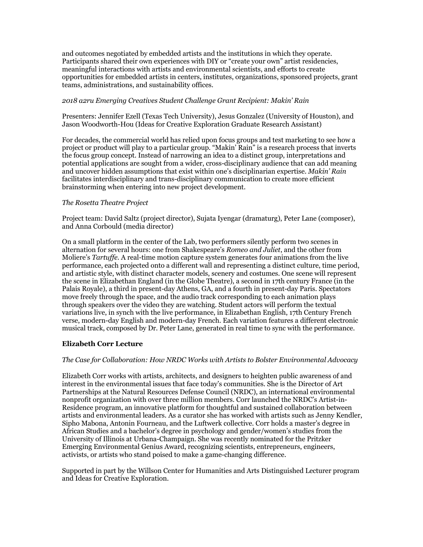and outcomes negotiated by embedded artists and the institutions in which they operate. Participants shared their own experiences with DIY or "create your own" artist residencies, meaningful interactions with artists and environmental scientists, and efforts to create opportunities for embedded artists in centers, institutes, organizations, sponsored projects, grant teams, administrations, and sustainability offices.

# *2018 a2ru Emerging Creatives Student Challenge Grant Recipient: Makin' Rain*

Presenters: Jennifer Ezell (Texas Tech University), Jesus Gonzalez (University of Houston), and Jason Woodworth-Hou (Ideas for Creative Exploration Graduate Research Assistant)

For decades, the commercial world has relied upon focus groups and test marketing to see how a project or product will play to a particular group. "Makin' Rain" is a research process that inverts the focus group concept. Instead of narrowing an idea to a distinct group, interpretations and potential applications are sought from a wider, cross-disciplinary audience that can add meaning and uncover hidden assumptions that exist within one's disciplinarian expertise. *Makin' Rain* facilitates interdisciplinary and trans-disciplinary communication to create more efficient brainstorming when entering into new project development.

# *The Rosetta Theatre Project*

Project team: David Saltz (project director), Sujata Iyengar (dramaturg), Peter Lane (composer), and Anna Corbould (media director)

On a small platform in the center of the Lab, two performers silently perform two scenes in alternation for several hours: one from Shakespeare's *Romeo and Juliet*, and the other from Moliere's *Tartuffe*. A real-time motion capture system generates four animations from the live performance, each projected onto a different wall and representing a distinct culture, time period, and artistic style, with distinct character models, scenery and costumes. One scene will represent the scene in Elizabethan England (in the Globe Theatre), a second in 17th century France (in the Palais Royale), a third in present-day Athens, GA, and a fourth in present-day Paris. Spectators move freely through the space, and the audio track corresponding to each animation plays through speakers over the video they are watching. Student actors will perform the textual variations live, in synch with the live performance, in Elizabethan English, 17th Century French verse, modern-day English and modern-day French. Each variation features a different electronic musical track, composed by Dr. Peter Lane, generated in real time to sync with the performance.

# **Elizabeth Corr Lecture**

## *The Case for Collaboration: How NRDC Works with Artists to Bolster Environmental Advocacy*

Elizabeth Corr works with artists, architects, and designers to heighten public awareness of and interest in the environmental issues that face today's communities. She is the Director of Art Partnerships at the Natural Resources Defense Council (NRDC), an international environmental nonprofit organization with over three million members. Corr launched the NRDC's Artist-in-Residence program, an innovative platform for thoughtful and sustained collaboration between artists and environmental leaders. As a curator she has worked with artists such as Jenny Kendler, Sipho Mabona, Antonin Fourneau, and the Luftwerk collective. Corr holds a master's degree in African Studies and a bachelor's degree in psychology and gender/women's studies from the University of Illinois at Urbana-Champaign. She was recently nominated for the Pritzker Emerging Environmental Genius Award, recognizing scientists, entrepreneurs, engineers, activists, or artists who stand poised to make a game-changing difference.

Supported in part by the Willson Center for Humanities and Arts Distinguished Lecturer program and Ideas for Creative Exploration.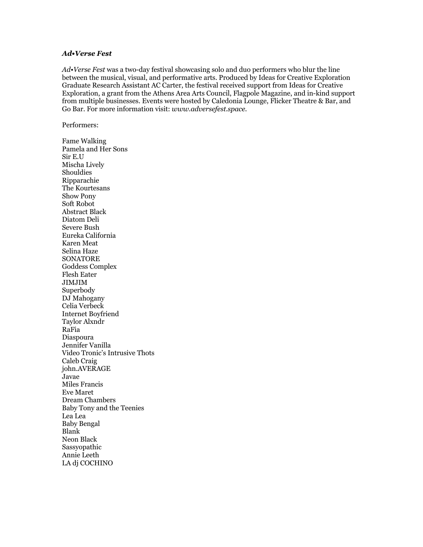# *Ad•Verse Fest*

*Ad•Verse Fest* was a two-day festival showcasing solo and duo performers who blur the line between the musical, visual, and performative arts. Produced by Ideas for Creative Exploration Graduate Research Assistant AC Carter, the festival received support from Ideas for Creative Exploration, a grant from the Athens Area Arts Council, Flagpole Magazine, and in-kind support from multiple businesses. Events were hosted by Caledonia Lounge, Flicker Theatre & Bar, and Go Bar. For more information visit: *www.adversefest.space*.

Performers:

Fame Walking Pamela and Her Sons Sir E.U Mischa Lively Shouldies Ripparachie The Kourtesans Show Pony Soft Robot Abstract Black Diatom Deli Severe Bush Eureka California Karen Meat Selina Haze **SONATORE** Goddess Complex Flesh Eater JIMJIM Superbody DJ Mahogany Celia Verbeck Internet Boyfriend Taylor Alxndr RaFia Diaspoura Jennifer Vanilla Video Tronic's Intrusive Thots Caleb Craig john.AVERAGE Javae Miles Francis Eve Maret Dream Chambers Baby Tony and the Teenies Lea Lea Baby Bengal Blank Neon Black Sassyopathic Annie Leeth LA dj COCHINO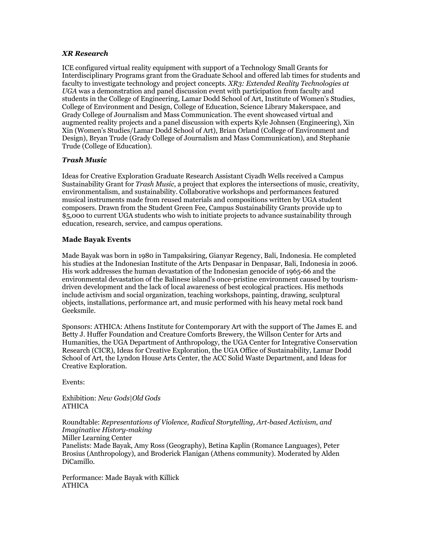# *XR Research*

ICE configured virtual reality equipment with support of a Technology Small Grants for Interdisciplinary Programs grant from the Graduate School and offered lab times for students and faculty to investigate technology and project concepts. *XR3: Extended Reality Technologies at UGA* was a demonstration and panel discussion event with participation from faculty and students in the College of Engineering, Lamar Dodd School of Art, Institute of Women's Studies, College of Environment and Design, College of Education, Science Library Makerspace, and Grady College of Journalism and Mass Communication. The event showcased virtual and augmented reality projects and a panel discussion with experts Kyle Johnsen (Engineering), Xin Xin (Women's Studies/Lamar Dodd School of Art), Brian Orland (College of Environment and Design), Bryan Trude (Grady College of Journalism and Mass Communication), and Stephanie Trude (College of Education).

# *Trash Music*

Ideas for Creative Exploration Graduate Research Assistant Ciyadh Wells received a Campus Sustainability Grant for *Trash Music*, a project that explores the intersections of music, creativity, environmentalism, and sustainability. Collaborative workshops and performances featured musical instruments made from reused materials and compositions written by UGA student composers. Drawn from the Student Green Fee, Campus Sustainability Grants provide up to \$5,000 to current UGA students who wish to initiate projects to advance sustainability through education, research, service, and campus operations.

# **Made Bayak Events**

Made Bayak was born in 1980 in Tampaksiring, Gianyar Regency, Bali, Indonesia. He completed his studies at the Indonesian Institute of the Arts Denpasar in Denpasar, Bali, Indonesia in 2006. His work addresses the human devastation of the Indonesian genocide of 1965-66 and the environmental devastation of the Balinese island's once-pristine environment caused by tourismdriven development and the lack of local awareness of best ecological practices. His methods include activism and social organization, teaching workshops, painting, drawing, sculptural objects, installations, performance art, and music performed with his heavy metal rock band Geeksmile.

Sponsors: ATHICA: Athens Institute for Contemporary Art with the support of The James E. and Betty J. Huffer Foundation and Creature Comforts Brewery, the Willson Center for Arts and Humanities, the UGA Department of Anthropology, the UGA Center for Integrative Conservation Research (CICR), Ideas for Creative Exploration, the UGA Office of Sustainability, Lamar Dodd School of Art, the Lyndon House Arts Center, the ACC Solid Waste Department, and Ideas for Creative Exploration.

Events:

Exhibition: *New Gods|Old Gods* ATHICA

Roundtable: *Representations of Violence, Radical Storytelling, Art-based Activism, and Imaginative History-making* Miller Learning Center Panelists: Made Bayak, Amy Ross (Geography), Betina Kaplin (Romance Languages), Peter Brosius (Anthropology), and Broderick Flanigan (Athens community). Moderated by Alden DiCamillo.

Performance: Made Bayak with Killick ATHICA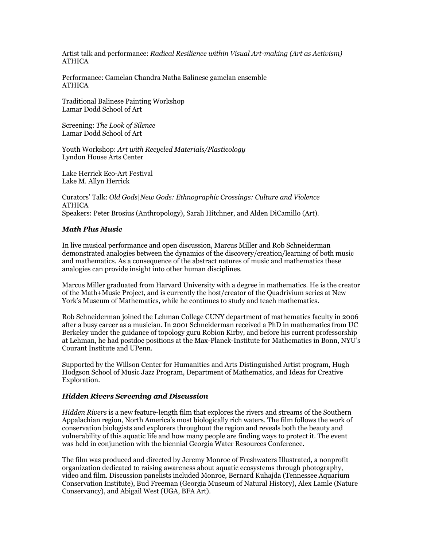Artist talk and performance: *Radical Resilience within Visual Art-making (Art as Activism)* ATHICA

Performance: Gamelan Chandra Natha Balinese gamelan ensemble ATHICA

Traditional Balinese Painting Workshop Lamar Dodd School of Art

Screening: *The Look of Silence* Lamar Dodd School of Art

Youth Workshop: *Art with Recycled Materials/Plasticology* Lyndon House Arts Center

Lake Herrick Eco-Art Festival Lake M. Allyn Herrick

Curators' Talk: *Old Gods|New Gods: Ethnographic Crossings: Culture and Violence* ATHICA Speakers: Peter Brosius (Anthropology), Sarah Hitchner, and Alden DiCamillo (Art).

## *Math Plus Music*

In live musical performance and open discussion, Marcus Miller and Rob Schneiderman demonstrated analogies between the dynamics of the discovery/creation/learning of both music and mathematics. As a consequence of the abstract natures of music and mathematics these analogies can provide insight into other human disciplines.

Marcus Miller graduated from Harvard University with a degree in mathematics. He is the creator of the Math+Music Project, and is currently the host/creator of the Quadrivium series at New York's Museum of Mathematics, while he continues to study and teach mathematics.

Rob Schneiderman joined the Lehman College CUNY department of mathematics faculty in 2006 after a busy career as a musician. In 2001 Schneiderman received a PhD in mathematics from UC Berkeley under the guidance of topology guru Robion Kirby, and before his current professorship at Lehman, he had postdoc positions at the Max-Planck-Institute for Mathematics in Bonn, NYU's Courant Institute and UPenn.

Supported by the Willson Center for Humanities and Arts Distinguished Artist program, Hugh Hodgson School of Music Jazz Program, Department of Mathematics, and Ideas for Creative Exploration.

#### *Hidden Rivers Screening and Discussion*

*Hidden Rivers* is a new feature-length film that explores the rivers and streams of the Southern Appalachian region, North America's most biologically rich waters. The film follows the work of conservation biologists and explorers throughout the region and reveals both the beauty and vulnerability of this aquatic life and how many people are finding ways to protect it. The event was held in conjunction with the biennial Georgia Water Resources Conference.

The film was produced and directed by Jeremy Monroe of Freshwaters Illustrated, a nonprofit organization dedicated to raising awareness about aquatic ecosystems through photography, video and film. Discussion panelists included Monroe, Bernard Kuhajda (Tennessee Aquarium Conservation Institute), Bud Freeman (Georgia Museum of Natural History), Alex Lamle (Nature Conservancy), and Abigail West (UGA, BFA Art).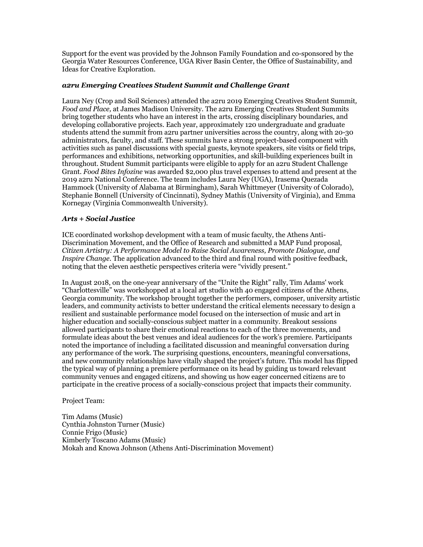Support for the event was provided by the Johnson Family Foundation and co-sponsored by the Georgia Water Resources Conference, UGA River Basin Center, the Office of Sustainability, and Ideas for Creative Exploration.

# *a2ru Emerging Creatives Student Summit and Challenge Grant*

Laura Ney (Crop and Soil Sciences) attended the a2ru 2019 Emerging Creatives Student Summit*, Food and Place,* at James Madison University. The a2ru Emerging Creatives Student Summits bring together students who have an interest in the arts, crossing disciplinary boundaries, and developing collaborative projects. Each year, approximately 120 undergraduate and graduate students attend the summit from a2ru partner universities across the country, along with 20-30 administrators, faculty, and staff. These summits have a strong project-based component with activities such as panel discussions with special guests, keynote speakers, site visits or field trips, performances and exhibitions, networking opportunities, and skill-building experiences built in throughout. Student Summit participants were eligible to apply for an a2ru Student Challenge Grant. *Food Bites Infozine* was awarded \$2,000 plus travel expenses to attend and present at the 2019 a2ru National Conference. The team includes Laura Ney (UGA), Irasema Quezada Hammock (University of Alabama at Birmingham), Sarah Whittmeyer (University of Colorado), Stephanie Bonnell (University of Cincinnati), Sydney Mathis (University of Virginia), and Emma Kornegay (Virginia Commonwealth University).

# *Arts + Social Justice*

ICE coordinated workshop development with a team of music faculty, the Athens Anti-Discrimination Movement, and the Office of Research and submitted a MAP Fund proposal, *Citizen Artistry: A Performance Model to Raise Social Awareness, Promote Dialogue, and Inspire Change*. The application advanced to the third and final round with positive feedback, noting that the eleven aesthetic perspectives criteria were "vividly present."

In August 2018, on the one-year anniversary of the "Unite the Right" rally, Tim Adams' work "Charlottesville" was workshopped at a local art studio with 40 engaged citizens of the Athens, Georgia community. The workshop brought together the performers, composer, university artistic leaders, and community activists to better understand the critical elements necessary to design a resilient and sustainable performance model focused on the intersection of music and art in higher education and socially-conscious subject matter in a community. Breakout sessions allowed participants to share their emotional reactions to each of the three movements, and formulate ideas about the best venues and ideal audiences for the work's premiere. Participants noted the importance of including a facilitated discussion and meaningful conversation during any performance of the work. The surprising questions, encounters, meaningful conversations, and new community relationships have vitally shaped the project's future. This model has flipped the typical way of planning a premiere performance on its head by guiding us toward relevant community venues and engaged citizens, and showing us how eager concerned citizens are to participate in the creative process of a socially-conscious project that impacts their community.

## Project Team:

Tim Adams (Music) Cynthia Johnston Turner (Music) Connie Frigo (Music) Kimberly Toscano Adams (Music) Mokah and Knowa Johnson (Athens Anti-Discrimination Movement)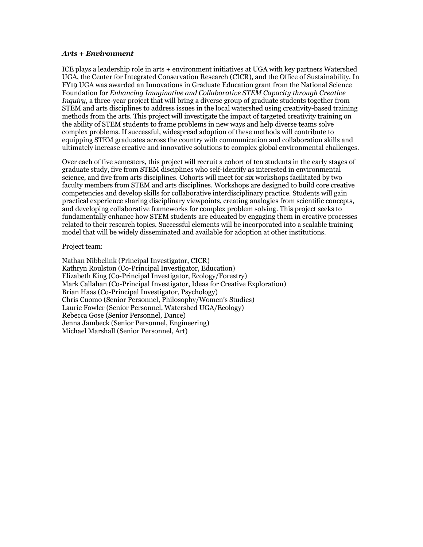### *Arts + Environment*

ICE plays a leadership role in arts + environment initiatives at UGA with key partners Watershed UGA, the Center for Integrated Conservation Research (CICR), and the Office of Sustainability. In FY19 UGA was awarded an Innovations in Graduate Education grant from the National Science Foundation for *Enhancing Imaginative and Collaborative STEM Capacity through Creative Inquiry*, a three-year project that will bring a diverse group of graduate students together from STEM and arts disciplines to address issues in the local watershed using creativity-based training methods from the arts. This project will investigate the impact of targeted creativity training on the ability of STEM students to frame problems in new ways and help diverse teams solve complex problems. If successful, widespread adoption of these methods will contribute to equipping STEM graduates across the country with communication and collaboration skills and ultimately increase creative and innovative solutions to complex global environmental challenges.

Over each of five semesters, this project will recruit a cohort of ten students in the early stages of graduate study, five from STEM disciplines who self-identify as interested in environmental science, and five from arts disciplines. Cohorts will meet for six workshops facilitated by two faculty members from STEM and arts disciplines. Workshops are designed to build core creative competencies and develop skills for collaborative interdisciplinary practice. Students will gain practical experience sharing disciplinary viewpoints, creating analogies from scientific concepts, and developing collaborative frameworks for complex problem solving. This project seeks to fundamentally enhance how STEM students are educated by engaging them in creative processes related to their research topics. Successful elements will be incorporated into a scalable training model that will be widely disseminated and available for adoption at other institutions.

#### Project team:

Nathan Nibbelink (Principal Investigator, CICR) Kathryn Roulston (Co-Principal Investigator, Education) Elizabeth King (Co-Principal Investigator, Ecology/Forestry) Mark Callahan (Co-Principal Investigator, Ideas for Creative Exploration) Brian Haas (Co-Principal Investigator, Psychology) Chris Cuomo (Senior Personnel, Philosophy/Women's Studies) Laurie Fowler (Senior Personnel, Watershed UGA/Ecology) Rebecca Gose (Senior Personnel, Dance) Jenna Jambeck (Senior Personnel, Engineering) Michael Marshall (Senior Personnel, Art)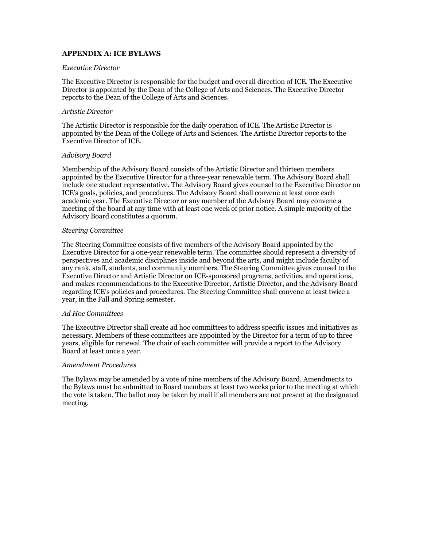# **APPENDIX A: ICE BYLAWS**

#### *Executive Director*

The Executive Director is responsible for the budget and overall direction of ICE. The Executive Director is appointed by the Dean of the College of Arts and Sciences. The Executive Director reports to the Dean of the College of Arts and Sciences.

### *Artistic Director*

The Artistic Director is responsible for the daily operation of ICE. The Artistic Director is appointed by the Dean of the College of Arts and Sciences. The Artistic Director reports to the Executive Director of ICE.

### *Advisory Board*

Membership of the Advisory Board consists of the Artistic Director and thirteen members appointed by the Executive Director for a three-year renewable term. The Advisory Board shall include one student representative. The Advisory Board gives counsel to the Executive Director on ICE's goals, policies, and procedures. The Advisory Board shall convene at least once each academic year. The Executive Director or any member of the Advisory Board may convene a meeting of the board at any time with at least one week of prior notice. A simple majority of the Advisory Board constitutes a quorum.

### *Steering Committee*

The Steering Committee consists of five members of the Advisory Board appointed by the Executive Director for a one-year renewable term. The committee should represent a diversity of perspectives and academic disciplines inside and beyond the arts, and might include faculty of any rank, staff, students, and community members. The Steering Committee gives counsel to the Executive Director and Artistic Director on ICE-sponsored programs, activities, and operations, and makes recommendations to the Executive Director, Artistic Director, and the Advisory Board regarding ICE's policies and procedures. The Steering Committee shall convene at least twice a year, in the Fall and Spring semester.

#### *Ad Hoc Committees*

The Executive Director shall create ad hoc committees to address specific issues and initiatives as necessary. Members of these committees are appointed by the Director for a term of up to three years, eligible for renewal. The chair of each committee will provide a report to the Advisory Board at least once a year.

## *Amendment Procedures*

The Bylaws may be amended by a vote of nine members of the Advisory Board. Amendments to the Bylaws must be submitted to Board members at least two weeks prior to the meeting at which the vote is taken. The ballot may be taken by mail if all members are not present at the designated meeting.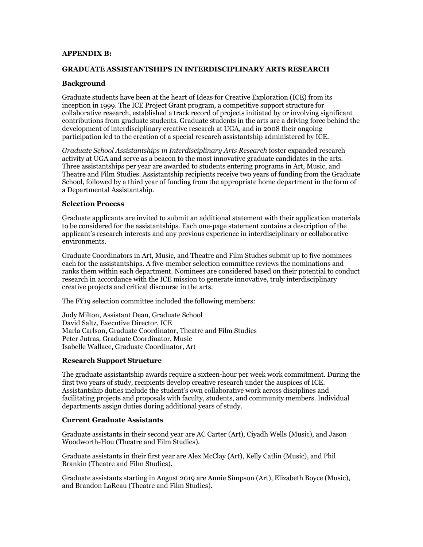## **APPENDIX B:**

### **GRADUATE ASSISTANTSHIPS IN INTERDISCIPLINARY ARTS RESEARCH**

## **Background**

Graduate students have been at the heart of Ideas for Creative Exploration (ICE) from its inception in 1999. The ICE Project Grant program, a competitive support structure for collaborative research, established a track record of projects initiated by or involving significant contributions from graduate students. Graduate students in the arts are a driving force behind the development of interdisciplinary creative research at UGA, and in 2008 their ongoing participation led to the creation of a special research assistantship administered by ICE.

*Graduate School Assistantships in Interdisciplinary Arts Research* foster expanded research activity at UGA and serve as a beacon to the most innovative graduate candidates in the arts. Three assistantships per year are awarded to students entering programs in Art, Music, and Theatre and Film Studies. Assistantship recipients receive two years of funding from the Graduate School, followed by a third year of funding from the appropriate home department in the form of a Departmental Assistantship.

#### **Selection Process**

Graduate applicants are invited to submit an additional statement with their application materials to be considered for the assistantships. Each one-page statement contains a description of the applicant's research interests and any previous experience in interdisciplinary or collaborative environments.

Graduate Coordinators in Art, Music, and Theatre and Film Studies submit up to five nominees each for the assistantships. A five-member selection committee reviews the nominations and ranks them within each department. Nominees are considered based on their potential to conduct research in accordance with the ICE mission to generate innovative, truly interdisciplinary creative projects and critical discourse in the arts.

The FY19 selection committee included the following members:

Judy Milton, Assistant Dean, Graduate School David Saltz, Executive Director, ICE Marla Carlson, Graduate Coordinator, Theatre and Film Studies Peter Jutras, Graduate Coordinator, Music Isabelle Wallace, Graduate Coordinator, Art

## **Research Support Structure**

The graduate assistantship awards require a sixteen-hour per week work commitment. During the first two years of study, recipients develop creative research under the auspices of ICE. Assistantship duties include the student's own collaborative work across disciplines and facilitating projects and proposals with faculty, students, and community members. Individual departments assign duties during additional years of study.

#### **Current Graduate Assistants**

Graduate assistants in their second year are AC Carter (Art), Ciyadh Wells (Music), and Jason Woodworth-Hou (Theatre and Film Studies).

Graduate assistants in their first year are Alex McClay (Art), Kelly Catlin (Music), and Phil Brankin (Theatre and Film Studies).

Graduate assistants starting in August 2019 are Annie Simpson (Art), Elizabeth Boyce (Music), and Brandon LaReau (Theatre and Film Studies).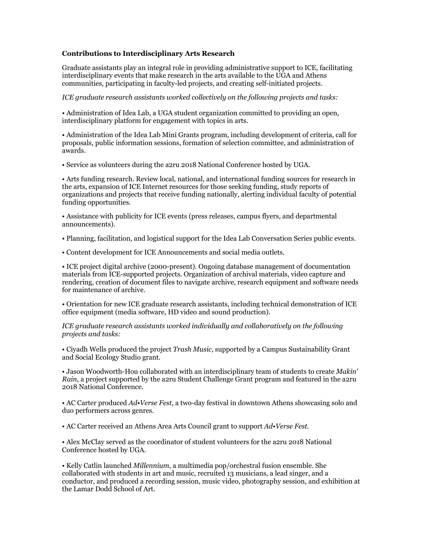# **Contributions to Interdisciplinary Arts Research**

Graduate assistants play an integral role in providing administrative support to ICE, facilitating interdisciplinary events that make research in the arts available to the UGA and Athens communities, participating in faculty-led projects, and creating self-initiated projects.

*ICE graduate research assistants worked collectively on the following projects and tasks:*

• Administration of Idea Lab, a UGA student organization committed to providing an open, interdisciplinary platform for engagement with topics in arts.

• Administration of the Idea Lab Mini Grants program, including development of criteria, call for proposals, public information sessions, formation of selection committee, and administration of awards.

• Service as volunteers during the a2ru 2018 National Conference hosted by UGA.

• Arts funding research. Review local, national, and international funding sources for research in the arts, expansion of ICE Internet resources for those seeking funding, study reports of organizations and projects that receive funding nationally, alerting individual faculty of potential funding opportunities.

• Assistance with publicity for ICE events (press releases, campus flyers, and departmental announcements).

• Planning, facilitation, and logistical support for the Idea Lab Conversation Series public events.

• Content development for ICE Announcements and social media outlets.

• ICE project digital archive (2000-present). Ongoing database management of documentation materials from ICE-supported projects. Organization of archival materials, video capture and rendering, creation of document files to navigate archive, research equipment and software needs for maintenance of archive.

• Orientation for new ICE graduate research assistants, including technical demonstration of ICE office equipment (media software, HD video and sound production).

*ICE graduate research assistants worked individually and collaboratively on the following projects and tasks:*

• Ciyadh Wells produced the project *Trash Music*, supported by a Campus Sustainability Grant and Social Ecology Studio grant.

• Jason Woodworth-Hou collaborated with an interdisciplinary team of students to create *Makin' Rain*, a project supported by the a2ru Student Challenge Grant program and featured in the a2ru 2018 National Conference.

• AC Carter produced *Ad•Verse Fest*, a two-day festival in downtown Athens showcasing solo and duo performers across genres.

• AC Carter received an Athens Area Arts Council grant to support *Ad•Verse Fest.*

• Alex McClay served as the coordinator of student volunteers for the a2ru 2018 National Conference hosted by UGA.

• Kelly Catlin launched *Millennium*, a multimedia pop/orchestral fusion ensemble. She collaborated with students in art and music, recruited 13 musicians, a lead singer, and a conductor, and produced a recording session, music video, photography session, and exhibition at the Lamar Dodd School of Art.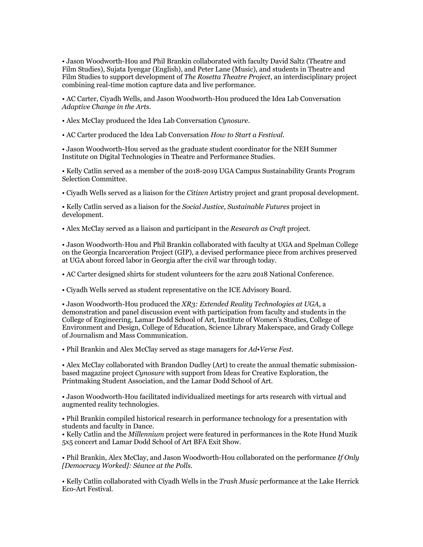• Jason Woodworth-Hou and Phil Brankin collaborated with faculty David Saltz (Theatre and Film Studies), Sujata Iyengar (English), and Peter Lane (Music), and students in Theatre and Film Studies to support development of *The Rosetta Theatre Project*, an interdisciplinary project combining real-time motion capture data and live performance.

• AC Carter, Ciyadh Wells, and Jason Woodworth-Hou produced the Idea Lab Conversation *Adaptive Change in the Arts*.

• Alex McClay produced the Idea Lab Conversation *Cynosure*.

• AC Carter produced the Idea Lab Conversation *How to Start a Festival*.

• Jason Woodworth-Hou served as the graduate student coordinator for the NEH Summer Institute on Digital Technologies in Theatre and Performance Studies.

• Kelly Catlin served as a member of the 2018-2019 UGA Campus Sustainability Grants Program Selection Committee.

• Ciyadh Wells served as a liaison for the *Citizen* Artistry project and grant proposal development.

• Kelly Catlin served as a liaison for the *Social Justice, Sustainable Futures* project in development.

• Alex McClay served as a liaison and participant in the *Research as Craft* project.

• Jason Woodworth-Hou and Phil Brankin collaborated with faculty at UGA and Spelman College on the Georgia Incarceration Project (GIP), a devised performance piece from archives preserved at UGA about forced labor in Georgia after the civil war through today.

• AC Carter designed shirts for student volunteers for the a2ru 2018 National Conference.

• Ciyadh Wells served as student representative on the ICE Advisory Board.

• Jason Woodworth-Hou produced the *XR3: Extended Reality Technologies at UGA*, a demonstration and panel discussion event with participation from faculty and students in the College of Engineering, Lamar Dodd School of Art, Institute of Women's Studies, College of Environment and Design, College of Education, Science Library Makerspace, and Grady College of Journalism and Mass Communication.

• Phil Brankin and Alex McClay served as stage managers for *Ad•Verse Fest*.

• Alex McClay collaborated with Brandon Dudley (Art) to create the annual thematic submissionbased magazine project *Cynosure* with support from Ideas for Creative Exploration, the Printmaking Student Association, and the Lamar Dodd School of Art.

• Jason Woodworth-Hou facilitated individualized meetings for arts research with virtual and augmented reality technologies.

• Phil Brankin compiled historical research in performance technology for a presentation with students and faculty in Dance.

• Kelly Catlin and the *Millennium* project were featured in performances in the Rote Hund Muzik 5x5 concert and Lamar Dodd School of Art BFA Exit Show.

• Phil Brankin, Alex McClay, and Jason Woodworth-Hou collaborated on the performance *If Only [Democracy Worked]: Séance at the Polls*.

• Kelly Catlin collaborated with Ciyadh Wells in the *Trash Music* performance at the Lake Herrick Eco-Art Festival.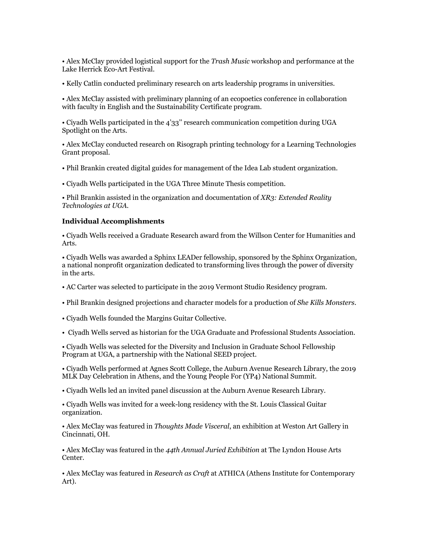• Alex McClay provided logistical support for the *Trash Music* workshop and performance at the Lake Herrick Eco-Art Festival.

• Kelly Catlin conducted preliminary research on arts leadership programs in universities.

• Alex McClay assisted with preliminary planning of an ecopoetics conference in collaboration with faculty in English and the Sustainability Certificate program.

• Ciyadh Wells participated in the 4'33'' research communication competition during UGA Spotlight on the Arts.

• Alex McClay conducted research on Risograph printing technology for a Learning Technologies Grant proposal.

• Phil Brankin created digital guides for management of the Idea Lab student organization.

• Ciyadh Wells participated in the UGA Three Minute Thesis competition.

• Phil Brankin assisted in the organization and documentation of *XR3: Extended Reality Technologies at UGA.*

### **Individual Accomplishments**

• Ciyadh Wells received a Graduate Research award from the Willson Center for Humanities and Arts.

• Ciyadh Wells was awarded a Sphinx LEADer fellowship, sponsored by the Sphinx Organization, a national nonprofit organization dedicated to transforming lives through the power of diversity in the arts.

• AC Carter was selected to participate in the 2019 Vermont Studio Residency program.

• Phil Brankin designed projections and character models for a production of *She Kills Monsters*.

• Ciyadh Wells founded the Margins Guitar Collective.

• Ciyadh Wells served as historian for the UGA Graduate and Professional Students Association.

• Ciyadh Wells was selected for the Diversity and Inclusion in Graduate School Fellowship Program at UGA, a partnership with the National SEED project.

• Ciyadh Wells performed at Agnes Scott College, the Auburn Avenue Research Library, the 2019 MLK Day Celebration in Athens, and the Young People For (YP4) National Summit.

• Ciyadh Wells led an invited panel discussion at the Auburn Avenue Research Library.

• Ciyadh Wells was invited for a week-long residency with the St. Louis Classical Guitar organization.

• Alex McClay was featured in *Thoughts Made Visceral*, an exhibition at Weston Art Gallery in Cincinnati, OH.

• Alex McClay was featured in the *44th Annual Juried Exhibition* at The Lyndon House Arts Center.

• Alex McClay was featured in *Research as Craft* at ATHICA (Athens Institute for Contemporary Art).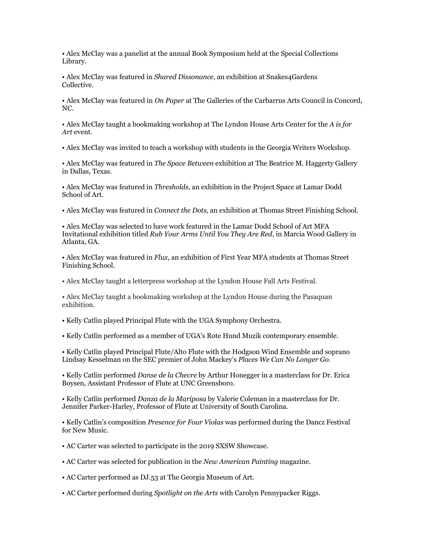• Alex McClay was a panelist at the annual Book Symposium held at the Special Collections Library.

• Alex McClay was featured in *Shared Dissonance*, an exhibition at Snakes4Gardens Collective.

• Alex McClay was featured in *On Paper* at The Galleries of the Carbarrus Arts Council in Concord, NC.

• Alex McClay taught a bookmaking workshop at The Lyndon House Arts Center for the *A is for Art* event.

• Alex McClay was invited to teach a workshop with students in the Georgia Writers Workshop.

• Alex McClay was featured in *The Space Between* exhibition at The Beatrice M. Haggerty Gallery in Dallas, Texas.

• Alex McClay was featured in *Thresholds*, an exhibition in the Project Space at Lamar Dodd School of Art.

• Alex McClay was featured in *Connect the Dots,* an exhibition at Thomas Street Finishing School.

• Alex McClay was selected to have work featured in the Lamar Dodd School of Art MFA Invitational exhibition titled *Rub Your Arms Until You They Are Red*, in Marcia Wood Gallery in Atlanta, GA.

• Alex McClay was featured in *Flux*, an exhibition of First Year MFA students at Thomas Street Finishing School.

• Alex McClay taught a letterpress workshop at the Lyndon House Fall Arts Festival.

• Alex McClay taught a bookmaking workshop at the Lyndon House during the Pasaquan exhibition.

• Kelly Catlin played Principal Flute with the UGA Symphony Orchestra.

• Kelly Catlin performed as a member of UGA's Rote Hund Muzik contemporary ensemble.

• Kelly Catlin played Principal Flute/Alto Flute with the Hodgson Wind Ensemble and soprano Lindsay Kesselman on the SEC premier of John Mackey's *Places We Can No Longer Go*.

• Kelly Catlin performed *Danse de la Chevre* by Arthur Honegger in a masterclass for Dr. Erica Boysen, Assistant Professor of Flute at UNC Greensboro.

• Kelly Catlin performed *Danza de la Mariposa* by Valerie Coleman in a masterclass for Dr. Jennifer Parker-Harley, Professor of Flute at University of South Carolina.

• Kelly Catlin's composition *Presence for Four Violas* was performed during the Dancz Festival for New Music.

• AC Carter was selected to participate in the 2019 SXSW Showcase.

• AC Carter was selected for publication in the *New American Painting* magazine.

• AC Carter performed as DJ.53 at The Georgia Museum of Art.

• AC Carter performed during *Spotlight on the Arts* with Carolyn Pennypacker Riggs.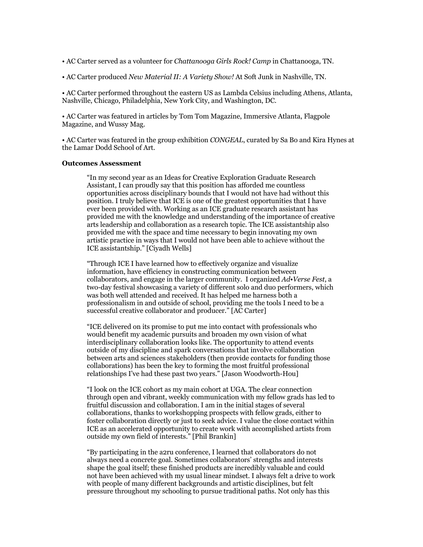- AC Carter served as a volunteer for *Chattanooga Girls Rock! Camp* in Chattanooga, TN.
- AC Carter produced *New Material II: A Variety Show!* At Soft Junk in Nashville, TN.

• AC Carter performed throughout the eastern US as Lambda Celsius including Athens, Atlanta, Nashville, Chicago, Philadelphia, New York City, and Washington, DC.

• AC Carter was featured in articles by Tom Tom Magazine, Immersive Atlanta, Flagpole Magazine, and Wussy Mag.

• AC Carter was featured in the group exhibition *CONGEAL*, curated by Sa Bo and Kira Hynes at the Lamar Dodd School of Art.

### **Outcomes Assessment**

"In my second year as an Ideas for Creative Exploration Graduate Research Assistant, I can proudly say that this position has afforded me countless opportunities across disciplinary bounds that I would not have had without this position. I truly believe that ICE is one of the greatest opportunities that I have ever been provided with. Working as an ICE graduate research assistant has provided me with the knowledge and understanding of the importance of creative arts leadership and collaboration as a research topic. The ICE assistantship also provided me with the space and time necessary to begin innovating my own artistic practice in ways that I would not have been able to achieve without the ICE assistantship." [Ciyadh Wells]

"Through ICE I have learned how to effectively organize and visualize information, have efficiency in constructing communication between collaborators, and engage in the larger community. I organized *Ad•Verse Fest*, a two-day festival showcasing a variety of different solo and duo performers, which was both well attended and received. It has helped me harness both a professionalism in and outside of school, providing me the tools I need to be a successful creative collaborator and producer." [AC Carter]

"ICE delivered on its promise to put me into contact with professionals who would benefit my academic pursuits and broaden my own vision of what interdisciplinary collaboration looks like. The opportunity to attend events outside of my discipline and spark conversations that involve collaboration between arts and sciences stakeholders (then provide contacts for funding those collaborations) has been the key to forming the most fruitful professional relationships I've had these past two years." [Jason Woodworth-Hou]

"I look on the ICE cohort as my main cohort at UGA. The clear connection through open and vibrant, weekly communication with my fellow grads has led to fruitful discussion and collaboration. I am in the initial stages of several collaborations, thanks to workshopping prospects with fellow grads, either to foster collaboration directly or just to seek advice. I value the close contact within ICE as an accelerated opportunity to create work with accomplished artists from outside my own field of interests." [Phil Brankin]

"By participating in the a2ru conference, I learned that collaborators do not always need a concrete goal. Sometimes collaborators' strengths and interests shape the goal itself; these finished products are incredibly valuable and could not have been achieved with my usual linear mindset. I always felt a drive to work with people of many different backgrounds and artistic disciplines, but felt pressure throughout my schooling to pursue traditional paths. Not only has this